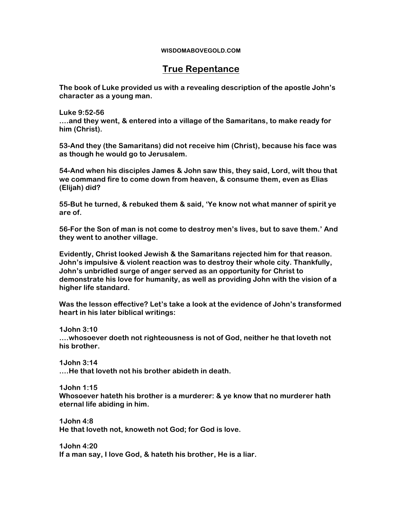## **WISDOMABOVEGOLD.COM**

## **True Repentance**

**The book of Luke provided us with a revealing description of the apostle John's character as a young man.** 

**Luke 9:52-56 ….and they went, & entered into a village of the Samaritans, to make ready for him (Christ).**

**53-And they (the Samaritans) did not receive him (Christ), because his face was as though he would go to Jerusalem.**

**54-And when his disciples James & John saw this, they said, Lord, wilt thou that we command fire to come down from heaven, & consume them, even as Elias (Elijah) did?**

**55-But he turned, & rebuked them & said, 'Ye know not what manner of spirit ye are of.**

**56-For the Son of man is not come to destroy men's lives, but to save them.' And they went to another village.** 

**Evidently, Christ looked Jewish & the Samaritans rejected him for that reason. John's impulsive & violent reaction was to destroy their whole city. Thankfully, John's unbridled surge of anger served as an opportunity for Christ to demonstrate his love for humanity, as well as providing John with the vision of a higher life standard.** 

**Was the lesson effective? Let's take a look at the evidence of John's transformed heart in his later biblical writings:** 

**1John 3:10**

**….whosoever doeth not righteousness is not of God, neither he that loveth not his brother.** 

**1John 3:14 ….He that loveth not his brother abideth in death.** 

**1John 1:15 Whosoever hateth his brother is a murderer: & ye know that no murderer hath eternal life abiding in him.** 

**1John 4:8 He that loveth not, knoweth not God; for God is love.** 

**1John 4:20 If a man say, I love God, & hateth his brother, He is a liar.**